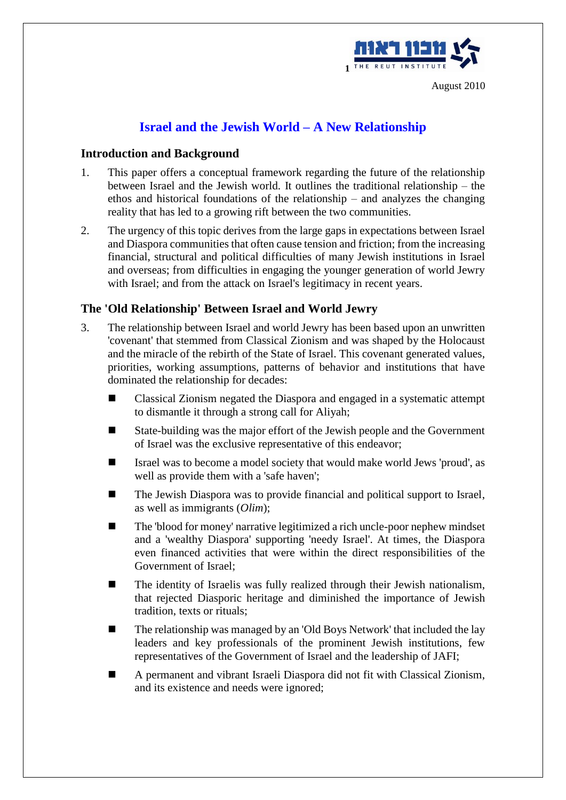

# **Israel and the Jewish World – A New Relationship**

# **Introduction and Background**

- 1. This paper offers a conceptual framework regarding the future of the relationship between Israel and the Jewish world. It outlines the traditional relationship – the ethos and historical foundations of the relationship – and analyzes the changing reality that has led to a growing rift between the two communities.
- 2. The urgency of this topic derives from the large gaps in expectations between Israel and Diaspora communities that often cause tension and friction; from the increasing financial, structural and political difficulties of many Jewish institutions in Israel and overseas; from difficulties in engaging the younger generation of world Jewry with Israel; and from the attack on Israel's legitimacy in recent years.

# **The 'Old Relationship' Between Israel and World Jewry**

- 3. The relationship between Israel and world Jewry has been based upon an unwritten 'covenant' that stemmed from Classical Zionism and was shaped by the Holocaust and the miracle of the rebirth of the State of Israel. This covenant generated values, priorities, working assumptions, patterns of behavior and institutions that have dominated the relationship for decades:
	- Classical Zionism negated the Diaspora and engaged in a systematic attempt to dismantle it through a strong call for Aliyah;
	- State-building was the major effort of the Jewish people and the Government of Israel was the exclusive representative of this endeavor;
	- Israel was to become a model society that would make world Jews 'proud', as well as provide them with a 'safe haven';
	- The Jewish Diaspora was to provide financial and political support to Israel, as well as immigrants (*Olim*);
	- The 'blood for money' narrative legitimized a rich uncle-poor nephew mindset and a 'wealthy Diaspora' supporting 'needy Israel'. At times, the Diaspora even financed activities that were within the direct responsibilities of the Government of Israel;
	- The identity of Israelis was fully realized through their Jewish nationalism, that rejected Diasporic heritage and diminished the importance of Jewish tradition, texts or rituals;
	- The relationship was managed by an 'Old Boys Network' that included the lay leaders and key professionals of the prominent Jewish institutions, few representatives of the Government of Israel and the leadership of JAFI;
	- ◼ A permanent and vibrant Israeli Diaspora did not fit with Classical Zionism, and its existence and needs were ignored;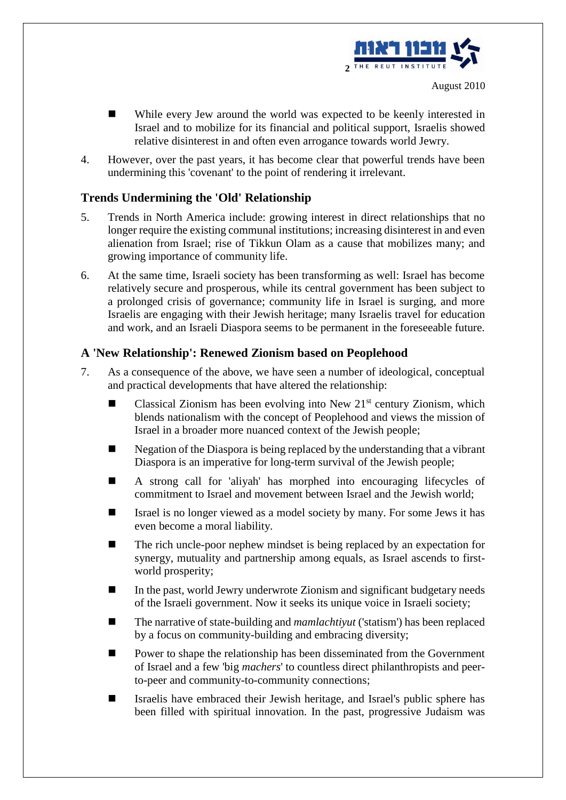

- While every Jew around the world was expected to be keenly interested in Israel and to mobilize for its financial and political support, Israelis showed relative disinterest in and often even arrogance towards world Jewry.
- 4. However, over the past years, it has become clear that powerful trends have been undermining this 'covenant' to the point of rendering it irrelevant.

#### **Trends Undermining the 'Old' Relationship**

- 5. Trends in North America include: growing interest in direct relationships that no longer require the existing communal institutions; increasing disinterest in and even alienation from Israel; rise of Tikkun Olam as a cause that mobilizes many; and growing importance of community life.
- 6. At the same time, Israeli society has been transforming as well: Israel has become relatively secure and prosperous, while its central government has been subject to a prolonged crisis of governance; community life in Israel is surging, and more Israelis are engaging with their Jewish heritage; many Israelis travel for education and work, and an Israeli Diaspora seems to be permanent in the foreseeable future.

# **A 'New Relationship': Renewed Zionism based on Peoplehood**

- 7. As a consequence of the above, we have seen a number of ideological, conceptual and practical developments that have altered the relationship:
	- Classical Zionism has been evolving into New  $21<sup>st</sup>$  century Zionism, which blends nationalism with the concept of Peoplehood and views the mission of Israel in a broader more nuanced context of the Jewish people;
	- Negation of the Diaspora is being replaced by the understanding that a vibrant Diaspora is an imperative for long-term survival of the Jewish people;
	- A strong call for 'aliyah' has morphed into encouraging lifecycles of commitment to Israel and movement between Israel and the Jewish world;
	- Israel is no longer viewed as a model society by many. For some Jews it has even become a moral liability.
	- The rich uncle-poor nephew mindset is being replaced by an expectation for synergy, mutuality and partnership among equals, as Israel ascends to firstworld prosperity;
	- In the past, world Jewry underwrote Zionism and significant budgetary needs of the Israeli government. Now it seeks its unique voice in Israeli society;
	- The narrative of state-building and *mamlachtiyut* ('statism') has been replaced by a focus on community-building and embracing diversity;
	- Power to shape the relationship has been disseminated from the Government of Israel and a few 'big *machers*' to countless direct philanthropists and peerto-peer and community-to-community connections;
	- ◼ Israelis have embraced their Jewish heritage, and Israel's public sphere has been filled with spiritual innovation. In the past, progressive Judaism was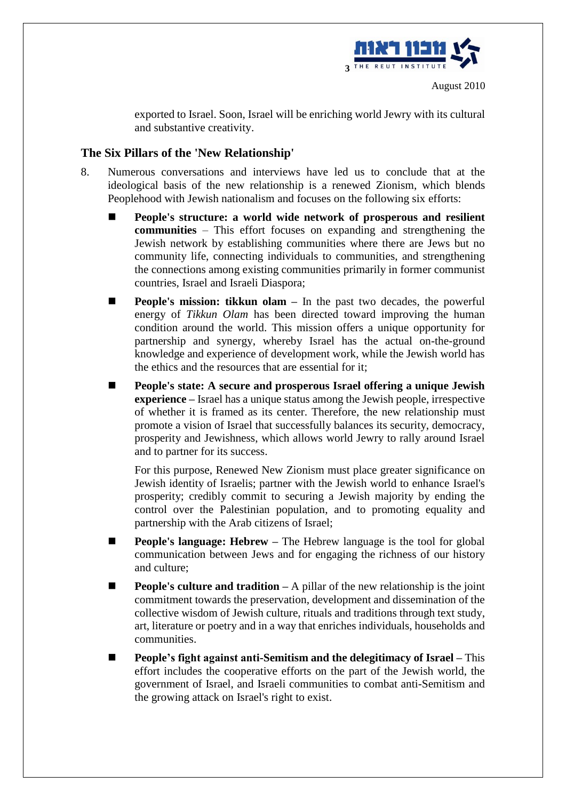

exported to Israel. Soon, Israel will be enriching world Jewry with its cultural and substantive creativity.

# **The Six Pillars of the 'New Relationship'**

- 8. Numerous conversations and interviews have led us to conclude that at the ideological basis of the new relationship is a renewed Zionism, which blends Peoplehood with Jewish nationalism and focuses on the following six efforts:
	- People's structure: a world wide network of prosperous and resilient **communities** – This effort focuses on expanding and strengthening the Jewish network by establishing communities where there are Jews but no community life, connecting individuals to communities, and strengthening the connections among existing communities primarily in former communist countries, Israel and Israeli Diaspora;
	- **People's mission: tikkun olam In the past two decades, the powerful** energy of *Tikkun Olam* has been directed toward improving the human condition around the world. This mission offers a unique opportunity for partnership and synergy, whereby Israel has the actual on-the-ground knowledge and experience of development work, while the Jewish world has the ethics and the resources that are essential for it;
	- People's state: A secure and prosperous Israel offering a unique Jewish **experience –** Israel has a unique status among the Jewish people, irrespective of whether it is framed as its center. Therefore, the new relationship must promote a vision of Israel that successfully balances its security, democracy, prosperity and Jewishness, which allows world Jewry to rally around Israel and to partner for its success.

For this purpose, Renewed New Zionism must place greater significance on Jewish identity of Israelis; partner with the Jewish world to enhance Israel's prosperity; credibly commit to securing a Jewish majority by ending the control over the Palestinian population, and to promoting equality and partnership with the Arab citizens of Israel;

- **People's language: Hebrew The Hebrew language is the tool for global** communication between Jews and for engaging the richness of our history and culture;
- **People's culture and tradition** A pillar of the new relationship is the joint commitment towards the preservation, development and dissemination of the collective wisdom of Jewish culture, rituals and traditions through text study, art, literature or poetry and in a way that enriches individuals, households and communities.
- ◼ **People's fight against anti-Semitism and the delegitimacy of Israel –** This effort includes the cooperative efforts on the part of the Jewish world, the government of Israel, and Israeli communities to combat anti-Semitism and the growing attack on Israel's right to exist.